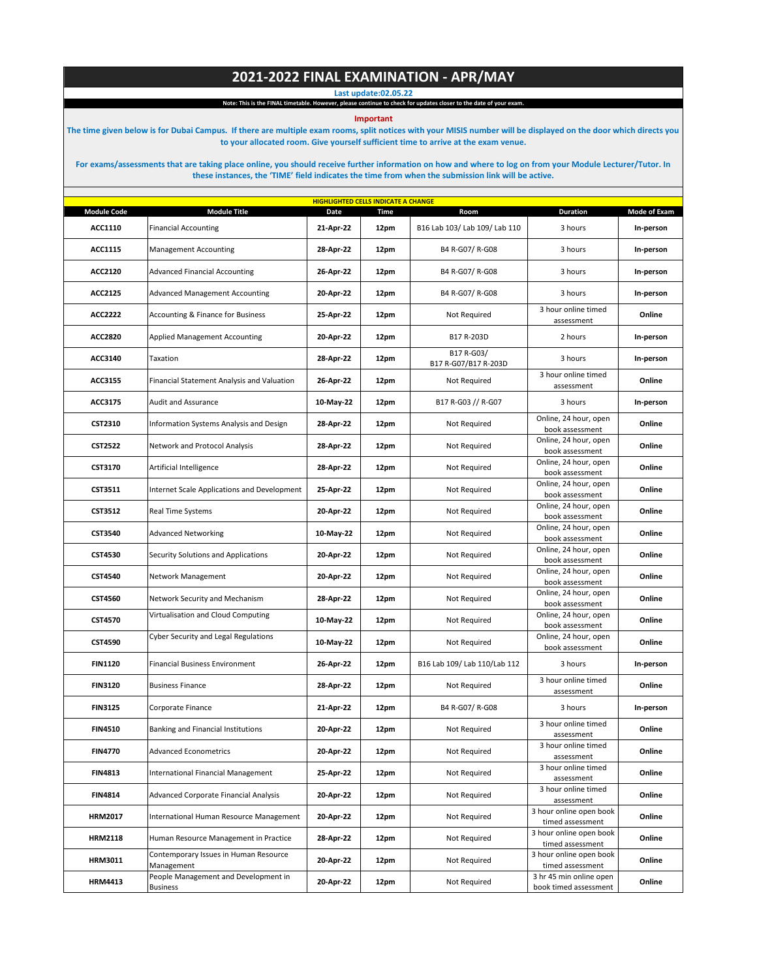## **2021-2022 FINAL EXAMINATION - APR/MAY**

**Last update:02.05.22**

**Note: This is the FINAL timetable. However, please continue to check for updates closer to the date of your exam.**

**Important** 

**The time given below is for Dubai Campus. If there are multiple exam rooms, split notices with your MISIS number will be displayed on the door which directs you to your allocated room. Give yourself sufficient time to arrive at the exam venue.** 

**For exams/assessments that are taking place online, you should receive further information on how and where to log on from your Module Lecturer/Tutor. In these instances, the 'TIME' field indicates the time from when the submission link will be active.**

| <b>HIGHLIGHTED CELLS INDICATE A CHANGE</b> |                                                     |           |             |                                    |                                                  |              |  |  |
|--------------------------------------------|-----------------------------------------------------|-----------|-------------|------------------------------------|--------------------------------------------------|--------------|--|--|
| <b>Module Code</b>                         | <b>Module Title</b>                                 | Date      | <b>Time</b> | Room                               | <b>Duration</b>                                  | Mode of Exam |  |  |
| ACC1110                                    | <b>Financial Accounting</b>                         | 21-Apr-22 | 12pm        | B16 Lab 103/ Lab 109/ Lab 110      | 3 hours                                          | In-person    |  |  |
| ACC1115                                    | <b>Management Accounting</b>                        | 28-Apr-22 | 12pm        | B4 R-G07/ R-G08                    | 3 hours                                          | In-person    |  |  |
| ACC2120                                    | <b>Advanced Financial Accounting</b>                | 26-Apr-22 | 12pm        | B4 R-G07/ R-G08                    | 3 hours                                          | In-person    |  |  |
| ACC2125                                    | <b>Advanced Management Accounting</b>               | 20-Apr-22 | 12pm        | B4 R-G07/ R-G08                    | 3 hours                                          | In-person    |  |  |
| <b>ACC2222</b>                             | <b>Accounting &amp; Finance for Business</b>        | 25-Apr-22 | 12pm        | Not Required                       | 3 hour online timed<br>assessment                | Online       |  |  |
| ACC2820                                    | Applied Management Accounting                       | 20-Apr-22 | 12pm        | B17 R-203D                         | 2 hours                                          | In-person    |  |  |
| ACC3140                                    | Taxation                                            | 28-Apr-22 | 12pm        | B17 R-G03/<br>B17 R-G07/B17 R-203D | 3 hours                                          | In-person    |  |  |
| ACC3155                                    | Financial Statement Analysis and Valuation          | 26-Apr-22 | 12pm        | Not Required                       | 3 hour online timed<br>assessment                | Online       |  |  |
| ACC3175                                    | Audit and Assurance                                 | 10-May-22 | 12pm        | B17 R-G03 // R-G07                 | 3 hours                                          | In-person    |  |  |
| CST2310                                    | Information Systems Analysis and Design             | 28-Apr-22 | 12pm        | Not Required                       | Online, 24 hour, open<br>book assessment         | Online       |  |  |
| <b>CST2522</b>                             | Network and Protocol Analysis                       | 28-Apr-22 | 12pm        | Not Required                       | Online, 24 hour, open<br>book assessment         | Online       |  |  |
| CST3170                                    | Artificial Intelligence                             | 28-Apr-22 | 12pm        | Not Required                       | Online, 24 hour, open<br>book assessment         | Online       |  |  |
| CST3511                                    | Internet Scale Applications and Development         | 25-Apr-22 | 12pm        | Not Required                       | Online, 24 hour, open<br>book assessment         | Online       |  |  |
| CST3512                                    | <b>Real Time Systems</b>                            | 20-Apr-22 | 12pm        | Not Required                       | Online, 24 hour, open<br>book assessment         | Online       |  |  |
| CST3540                                    | <b>Advanced Networking</b>                          | 10-May-22 | 12pm        | Not Required                       | Online, 24 hour, open<br>book assessment         | Online       |  |  |
| CST4530                                    | Security Solutions and Applications                 | 20-Apr-22 | 12pm        | Not Required                       | Online, 24 hour, open<br>book assessment         | Online       |  |  |
| CST4540                                    | Network Management                                  | 20-Apr-22 | 12pm        | Not Required                       | Online, 24 hour, open<br>book assessment         | Online       |  |  |
| CST4560                                    | Network Security and Mechanism                      | 28-Apr-22 | 12pm        | Not Required                       | Online, 24 hour, open<br>book assessment         | Online       |  |  |
| <b>CST4570</b>                             | Virtualisation and Cloud Computing                  | 10-May-22 | 12pm        | Not Required                       | Online, 24 hour, open<br>book assessment         | Online       |  |  |
| CST4590                                    | Cyber Security and Legal Regulations                | 10-May-22 | 12pm        | Not Required                       | Online, 24 hour, open<br>book assessment         | Online       |  |  |
| <b>FIN1120</b>                             | <b>Financial Business Environment</b>               | 26-Apr-22 | 12pm        | B16 Lab 109/ Lab 110/Lab 112       | 3 hours                                          | In-person    |  |  |
| <b>FIN3120</b>                             | <b>Business Finance</b>                             | 28-Apr-22 | 12pm        | Not Required                       | 3 hour online timed<br>assessment                | Online       |  |  |
| <b>FIN3125</b>                             | Corporate Finance                                   | 21-Apr-22 | 12pm        | B4 R-G07/ R-G08                    | 3 hours                                          | In-person    |  |  |
| <b>FIN4510</b>                             | Banking and Financial Institutions                  | 20-Apr-22 | 12pm        | Not Required                       | 3 hour online timed<br>assessment                | Online       |  |  |
| <b>FIN4770</b>                             | <b>Advanced Econometrics</b>                        | 20-Apr-22 | 12pm        | Not Required                       | 3 hour online timed<br>assessment                | Online       |  |  |
| <b>FIN4813</b>                             | International Financial Management                  | 25-Apr-22 | 12pm        | Not Required                       | 3 hour online timed<br>assessment                | Online       |  |  |
| <b>FIN4814</b>                             | <b>Advanced Corporate Financial Analysis</b>        | 20-Apr-22 | 12pm        | Not Required                       | 3 hour online timed<br>assessment                | Online       |  |  |
| <b>HRM2017</b>                             | International Human Resource Management             | 20-Apr-22 | 12pm        | Not Required                       | 3 hour online open book<br>timed assessment      | Online       |  |  |
| <b>HRM2118</b>                             | Human Resource Management in Practice               | 28-Apr-22 | 12pm        | Not Required                       | 3 hour online open book<br>timed assessment      | Online       |  |  |
| <b>HRM3011</b>                             | Contemporary Issues in Human Resource<br>Management | 20-Apr-22 | 12pm        | Not Required                       | 3 hour online open book<br>timed assessment      | Online       |  |  |
| <b>HRM4413</b>                             | People Management and Development in<br>Business    | 20-Apr-22 | 12pm        | Not Required                       | 3 hr 45 min online open<br>book timed assessment | Online       |  |  |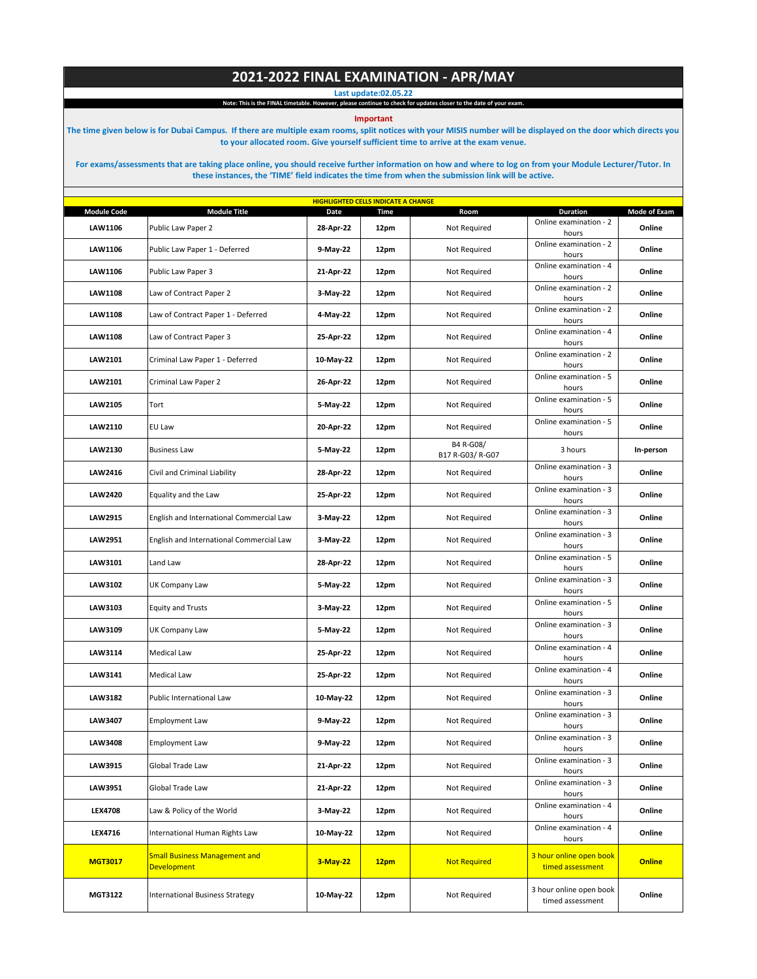## **2021-2022 FINAL EXAMINATION - APR/MAY**

**Last update:02.05.22**

**Note: This is the FINAL timetable. However, please continue to check for updates closer to the date of your exam.**

**Important** 

**The time given below is for Dubai Campus. If there are multiple exam rooms, split notices with your MISIS number will be displayed on the door which directs you to your allocated room. Give yourself sufficient time to arrive at the exam venue.** 

**For exams/assessments that are taking place online, you should receive further information on how and where to log on from your Module Lecturer/Tutor. In these instances, the 'TIME' field indicates the time from when the submission link will be active.**

| <b>HIGHLIGHTED CELLS INDICATE A CHANGE</b> |                                                            |           |             |                               |                                             |               |  |  |
|--------------------------------------------|------------------------------------------------------------|-----------|-------------|-------------------------------|---------------------------------------------|---------------|--|--|
| <b>Module Code</b>                         | <b>Module Title</b>                                        | Date      | <b>Time</b> | Room                          | <b>Duration</b>                             | Mode of Exam  |  |  |
| LAW1106                                    | Public Law Paper 2                                         | 28-Apr-22 | 12pm        | Not Required                  | Online examination - 2<br>hours             | Online        |  |  |
| LAW1106                                    | Public Law Paper 1 - Deferred                              | 9-May-22  | 12pm        | Not Required                  | Online examination - 2<br>hours             | Online        |  |  |
| LAW1106                                    | Public Law Paper 3                                         | 21-Apr-22 | 12pm        | Not Required                  | Online examination - 4<br>hours             | Online        |  |  |
| LAW1108                                    | Law of Contract Paper 2                                    | 3-May-22  | 12pm        | Not Required                  | Online examination - 2<br>hours             | Online        |  |  |
| LAW1108                                    | Law of Contract Paper 1 - Deferred                         | 4-May-22  | 12pm        | Not Required                  | Online examination - 2<br>hours             | Online        |  |  |
| LAW1108                                    | Law of Contract Paper 3                                    | 25-Apr-22 | 12pm        | Not Required                  | Online examination - 4<br>hours             | Online        |  |  |
| LAW2101                                    | Criminal Law Paper 1 - Deferred                            | 10-May-22 | 12pm        | Not Required                  | Online examination - 2<br>hours             | Online        |  |  |
| LAW2101                                    | Criminal Law Paper 2                                       | 26-Apr-22 | 12pm        | Not Required                  | Online examination - 5<br>hours             | Online        |  |  |
| LAW2105                                    | Tort                                                       | 5-May-22  | 12pm        | Not Required                  | Online examination - 5<br>hours             | Online        |  |  |
| LAW2110                                    | EU Law                                                     | 20-Apr-22 | 12pm        | Not Required                  | Online examination - 5<br>hours             | Online        |  |  |
| LAW2130                                    | <b>Business Law</b>                                        | 5-May-22  | 12pm        | B4 R-G08/<br>B17 R-G03/ R-G07 | 3 hours                                     | In-person     |  |  |
| LAW2416                                    | Civil and Criminal Liability                               | 28-Apr-22 | 12pm        | Not Required                  | Online examination - 3<br>hours             | Online        |  |  |
| <b>LAW2420</b>                             | Equality and the Law                                       | 25-Apr-22 | 12pm        | Not Required                  | Online examination - 3<br>hours             | Online        |  |  |
| <b>LAW2915</b>                             | English and International Commercial Law                   | 3-May-22  | 12pm        | Not Required                  | Online examination - 3<br>hours             | Online        |  |  |
| LAW2951                                    | English and International Commercial Law                   | 3-May-22  | 12pm        | Not Required                  | Online examination - 3<br>hours             | Online        |  |  |
| LAW3101                                    | Land Law                                                   | 28-Apr-22 | 12pm        | Not Required                  | Online examination - 5<br>hours             | Online        |  |  |
| LAW3102                                    | UK Company Law                                             | 5-May-22  | 12pm        | Not Required                  | Online examination - 3<br>hours             | Online        |  |  |
| LAW3103                                    | <b>Equity and Trusts</b>                                   | 3-May-22  | 12pm        | Not Required                  | Online examination - 5<br>hours             | Online        |  |  |
| LAW3109                                    | UK Company Law                                             | 5-May-22  | 12pm        | Not Required                  | Online examination - 3<br>hours             | Online        |  |  |
| LAW3114                                    | <b>Medical Law</b>                                         | 25-Apr-22 | 12pm        | Not Required                  | Online examination - 4<br>hours             | Online        |  |  |
| LAW3141                                    | Medical Law                                                | 25-Apr-22 | 12pm        | Not Required                  | Online examination - 4<br>hours             | Online        |  |  |
| LAW3182                                    | Public International Law                                   | 10-May-22 | 12pm        | Not Required                  | Online examination - 3<br>hours             | Online        |  |  |
| LAW3407                                    | Employment Law                                             | 9-May-22  | 12pm        | Not Required                  | Online examination - 3<br>hours             | Online        |  |  |
| <b>LAW3408</b>                             | <b>Employment Law</b>                                      | 9-May-22  | 12pm        | Not Required                  | Online examination - 3<br>hours             | Online        |  |  |
| LAW3915                                    | Global Trade Law                                           | 21-Apr-22 | 12pm        | Not Required                  | Online examination - 3<br>hours             | Online        |  |  |
| LAW3951                                    | Global Trade Law                                           | 21-Apr-22 | 12pm        | Not Required                  | Online examination - 3<br>hours             | Online        |  |  |
| <b>LEX4708</b>                             | Law & Policy of the World                                  | 3-May-22  | 12pm        | Not Required                  | Online examination - 4<br>hours             | Online        |  |  |
| LEX4716                                    | International Human Rights Law                             | 10-May-22 | 12pm        | Not Required                  | Online examination - 4<br>hours             | Online        |  |  |
| <b>MGT3017</b>                             | <b>Small Business Management and</b><br><b>Development</b> | 3-May-22  | 12pm        | <b>Not Required</b>           | 3 hour online open book<br>timed assessment | <b>Online</b> |  |  |
| MGT3122                                    | <b>International Business Strategy</b>                     | 10-May-22 | 12pm        | Not Required                  | 3 hour online open book<br>timed assessment | Online        |  |  |